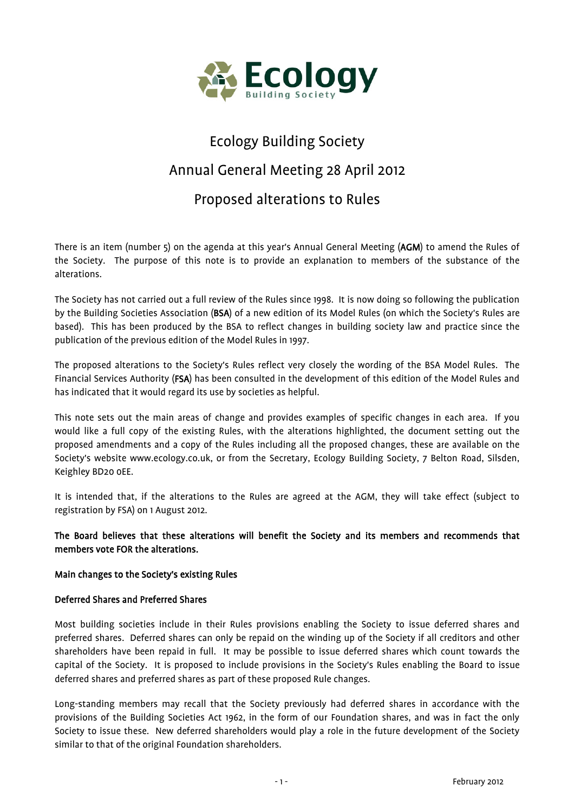

# Ecology Building Society Annual General Meeting 28 April 2012

# Proposed alterations to Rules

There is an item (number 5) on the agenda at this year's Annual General Meeting (AGM) to amend the Rules of the Society. The purpose of this note is to provide an explanation to members of the substance of the alterations.

The Society has not carried out a full review of the Rules since 1998. It is now doing so following the publication by the Building Societies Association (BSA) of a new edition of its Model Rules (on which the Society's Rules are based). This has been produced by the BSA to reflect changes in building society law and practice since the publication of the previous edition of the Model Rules in 1997.

The proposed alterations to the Society's Rules reflect very closely the wording of the BSA Model Rules. The Financial Services Authority (FSA) has been consulted in the development of this edition of the Model Rules and has indicated that it would regard its use by societies as helpful.

This note sets out the main areas of change and provides examples of specific changes in each area. If you would like a full copy of the existing Rules, with the alterations highlighted, the document setting out the proposed amendments and a copy of the Rules including all the proposed changes, these are available on the Society's website www.ecology.co.uk, or from the Secretary, Ecology Building Society, 7 Belton Road, Silsden, Keighley BD20 0EE.

It is intended that, if the alterations to the Rules are agreed at the AGM, they will take effect (subject to registration by FSA) on 1 August 2012.

# The Board believes that these alterations will benefit the Society and its members and recommends that members vote FOR the alterations.

# Main changes to the Society's existing Rules

#### Deferred Shares and Preferred Shares

Most building societies include in their Rules provisions enabling the Society to issue deferred shares and preferred shares. Deferred shares can only be repaid on the winding up of the Society if all creditors and other shareholders have been repaid in full. It may be possible to issue deferred shares which count towards the capital of the Society. It is proposed to include provisions in the Society's Rules enabling the Board to issue deferred shares and preferred shares as part of these proposed Rule changes.

Long-standing members may recall that the Society previously had deferred shares in accordance with the provisions of the Building Societies Act 1962, in the form of our Foundation shares, and was in fact the only Society to issue these. New deferred shareholders would play a role in the future development of the Society similar to that of the original Foundation shareholders.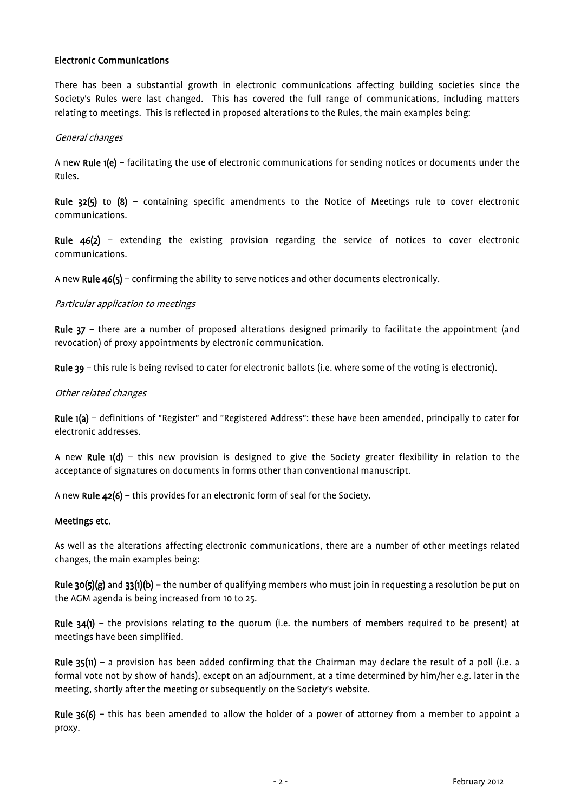## Electronic Communications

There has been a substantial growth in electronic communications affecting building societies since the Society's Rules were last changed. This has covered the full range of communications, including matters relating to meetings. This is reflected in proposed alterations to the Rules, the main examples being:

#### General changes

A new Rule 1(e) – facilitating the use of electronic communications for sending notices or documents under the Rules.

Rule  $32(5)$  to  $(8)$  – containing specific amendments to the Notice of Meetings rule to cover electronic communications.

Rule 46(2) – extending the existing provision regarding the service of notices to cover electronic communications.

A new Rule 46(5) – confirming the ability to serve notices and other documents electronically.

## Particular application to meetings

Rule 37 – there are a number of proposed alterations designed primarily to facilitate the appointment (and revocation) of proxy appointments by electronic communication.

Rule 39 – this rule is being revised to cater for electronic ballots (i.e. where some of the voting is electronic).

## Other related changes

Rule 1(a) – definitions of "Register" and "Registered Address": these have been amended, principally to cater for electronic addresses.

A new Rule 1(d) – this new provision is designed to give the Society greater flexibility in relation to the acceptance of signatures on documents in forms other than conventional manuscript.

A new Rule 42(6) – this provides for an electronic form of seal for the Society.

#### Meetings etc.

As well as the alterations affecting electronic communications, there are a number of other meetings related changes, the main examples being:

Rule 30(5)(g) and 33(1)(b) – the number of qualifying members who must join in requesting a resolution be put on the AGM agenda is being increased from 10 to 25.

Rule 34(1) – the provisions relating to the quorum (i.e. the numbers of members required to be present) at meetings have been simplified.

Rule 35(11) – a provision has been added confirming that the Chairman may declare the result of a poll (i.e. a formal vote not by show of hands), except on an adjournment, at a time determined by him/her e.g. later in the meeting, shortly after the meeting or subsequently on the Society's website.

Rule 36(6) – this has been amended to allow the holder of a power of attorney from a member to appoint a proxy.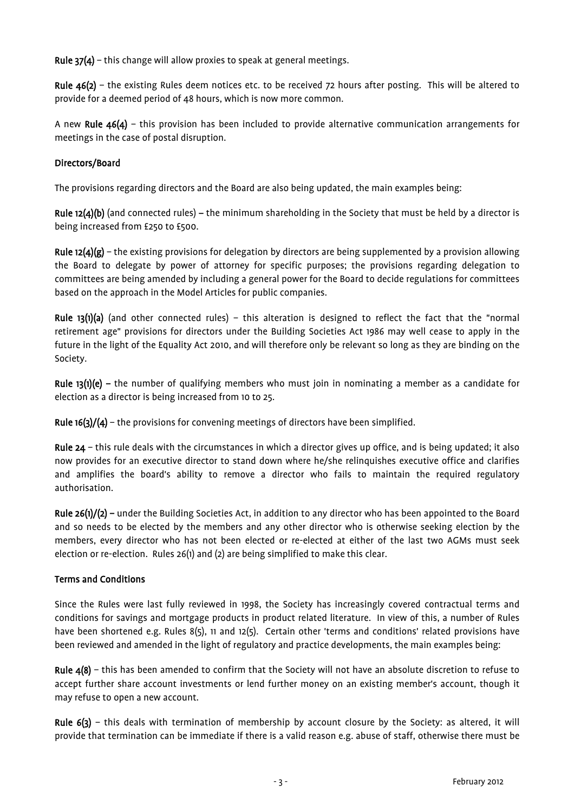Rule 37(4) – this change will allow proxies to speak at general meetings.

Rule 46(2) – the existing Rules deem notices etc. to be received 72 hours after posting. This will be altered to provide for a deemed period of 48 hours, which is now more common.

A new Rule 46(4) – this provision has been included to provide alternative communication arrangements for meetings in the case of postal disruption.

## Directors/Board

The provisions regarding directors and the Board are also being updated, the main examples being:

Rule 12(4)(b) (and connected rules) – the minimum shareholding in the Society that must be held by a director is being increased from £250 to £500.

Rule  $12(4)(g)$  – the existing provisions for delegation by directors are being supplemented by a provision allowing the Board to delegate by power of attorney for specific purposes; the provisions regarding delegation to committees are being amended by including a general power for the Board to decide regulations for committees based on the approach in the Model Articles for public companies.

Rule 13(1)(a) (and other connected rules) – this alteration is designed to reflect the fact that the "normal retirement age" provisions for directors under the Building Societies Act 1986 may well cease to apply in the future in the light of the Equality Act 2010, and will therefore only be relevant so long as they are binding on the Society.

**Rule 13(1)(e)** – the number of qualifying members who must join in nominating a member as a candidate for election as a director is being increased from 10 to 25.

Rule  $16(3)/(4)$  – the provisions for convening meetings of directors have been simplified.

Rule 24 – this rule deals with the circumstances in which a director gives up office, and is being updated; it also now provides for an executive director to stand down where he/she relinquishes executive office and clarifies and amplifies the board's ability to remove a director who fails to maintain the required regulatory authorisation.

Rule 26(1)/(2) – under the Building Societies Act, in addition to any director who has been appointed to the Board and so needs to be elected by the members and any other director who is otherwise seeking election by the members, every director who has not been elected or re-elected at either of the last two AGMs must seek election or re-election. Rules 26(1) and (2) are being simplified to make this clear.

#### Terms and Conditions

Since the Rules were last fully reviewed in 1998, the Society has increasingly covered contractual terms and conditions for savings and mortgage products in product related literature. In view of this, a number of Rules have been shortened e.g. Rules 8(5), 11 and 12(5). Certain other 'terms and conditions' related provisions have been reviewed and amended in the light of regulatory and practice developments, the main examples being:

Rule 4(8) – this has been amended to confirm that the Society will not have an absolute discretion to refuse to accept further share account investments or lend further money on an existing member's account, though it may refuse to open a new account.

Rule  $6(3)$  – this deals with termination of membership by account closure by the Society: as altered, it will provide that termination can be immediate if there is a valid reason e.g. abuse of staff, otherwise there must be